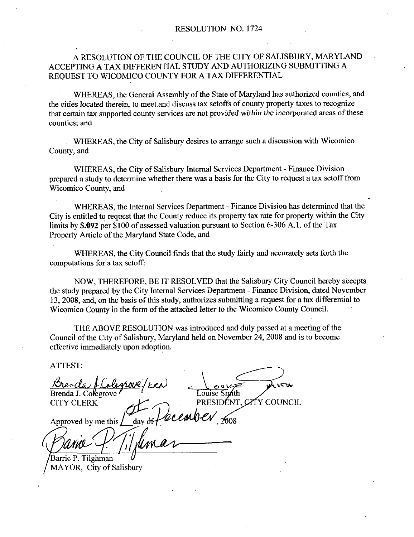#### A RESOLUTION OF THE COUNCIL OF THE CITY OF SALISBURY MARYLAND ACCEPTING A TAX DIFFERENTIAL STUDY AND AUTHORIZING SUBMITTING A REQUEST TO WICOMICO COUNTY FOR A TAX DIFFERENTIAL

WHEREAS, the General Assembly of the State of Maryland has authorized counties, and the cities located therein to meet and discuss tax setoffs of county property taxes to recognize that certain tax supported county services are not provided within the incorporated areas of these counties: and

WHEREAS, the City of Salisbury desires to arrange such a discussion with Wicomico County, and

WHEREAS, the City of Salisbury Internal Services Department - Finance Division prepazed a study to determine whether there was abasis for the City to request atax setoff from Wicomico County, and

WHEREAS, the Internal Services Department - Finance Division has determined that the Ciry is entitled to request that the County reduce its property tax rate for property within the City WHEREAS, the Internal Services Department - Finance Division has determined<br>City is entitled to request that the County reduce its property tax rate for property within<br>limits by **\$.092** per \$100 of assessed valuation purs Property Article of the Maryland State Code, and

WHEREAS, the City Council finds that the study fairly and accurately sets forth the computations for a tax setoff

NOW THEREFORE BE IT RESOLVED that the Salisbury City Council hereby accepts the study prepared by the City Internal Services Department - Finance Division, dated November 13, 2008, and, on the basis of this study, authorizes submitting a request for a tax differential to Wicomico County in the form of the attached letter to the Wicomico County Council.

fHE ABOVE RESOLUTION was introduced and duly passed at <sup>a</sup> meeting of the Council of the City of Salisbury, Maryland held on November 24, 2008 and is to become effective immediately upon adoption

ATTEST

ATTEST:<br><u>Brenda / Colegrove</u> / KRN<br>Brenda J. Colegrove c  $\sum_{x \in \mathfrak{g}_x}$  $Brenda J. Colegrove'$  Louise Singth CITY CLERK PRESIDENT. CYTY COUNCIL Approved by me this  $\frac{\partial L}{\partial xy}$  of  $\theta$  cember,  $\infty$ nda J. Coleg<br>Y CLERK<br>
proved by m<br> *Collation*<br> *Givernal*<br> *Collation* Barrie P Tilghman

MAYOR, City of Salisbury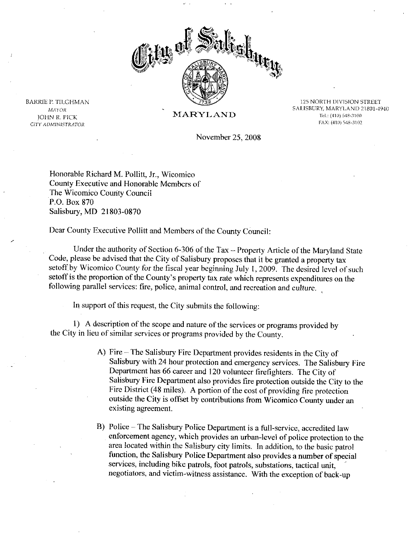

125 NORTH DIVISION STREET 125 NORTH DIVISION STREET<br>SALISBURY, MARYLAND 21801-4940 its 12 and 13 and 13 and 14 and 14 and 15 and 16 and 16 and 16 and 16 and 16 and 16 and 16 and 16 and 16 and 1<br>Tel.: (410) 548-3100 FAX: (410) 548-3102

November 25, 2008

Honorable Richard M. Pollitt, Jr., Wicomico County Executive and Honorable Members of The Wicomico County Council<br>P.O. Box 870 P.O. Box 870<br>Salisbury, MD 21803-0870

Dear County Executive Pollitt and Members of the County Council:

Under the authority of Section 6-306 of the  $Tax - Property$  Article of the Maryland State Code, please be advised that the City of Salisbury proposes that it be granted a property tax setoff by Wicomico County for the fiscal year beginning July 1, 2009. The desired level of such Under the authority of Section 6-306 of the Tax – Property Article of the Maryland St. Code, please be advised that the City of Salisbury proposes that it be granted a property tax setoff by Wicomico County for the fiscal setoff is the proportion of the County's property tax rate which represents expenditures on the following parallel services: fire, police, animal control, and recreation and culture.

In support of this request, the City submits the following:

1) A description of the scope and nature of the services or programs provided by the City in lieu of similar services or programs provided by the County

- A) Fire The Salisbury Fire Department provides residents in the City of Salisbury with 24 hour protection and emergency services. The Salisbury Fire Department has 66 career and 120 volunteer firefighters. The City of Salisbury Fire Department also provides fire protection outside the City to the Fire District (48 miles). A portion of the cost of providing fire protection outside the City is offset by contributions from Wicomico County under an existing agreement
- B) Police The Salisbury Police Department is a full-service, accredited law enforcement agency, which provides an urban-level of police protection to the area located within the Salisbury city limits. In addition, to the basic patrol function, the Salisbury Police Department also provides a number of special services, including bike patrols, foot patrols, substations, tactical unit, negotiators, and victim-witness assistance. With the exception of back-up

MAYOR MAYOR<br>JOHN R. PICK<br>JOHN R. PICK JOHN R. PICK<br>CITY ADMINISTRATOR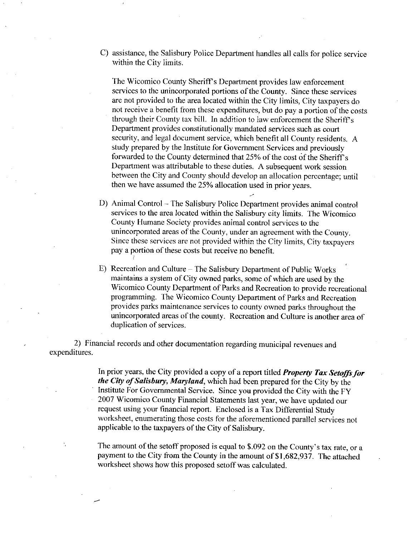C) assistance, the Salisbury Police Department handles all calls for police service within the City limits

assistance, the Salisbury Police Department handles all calls for police<br>within the City limits.<br>The Wicomico County Sheriff's Department provides law enforcement<br>services to the unincorporated portions of the County. Sinc The Wicomico County Sheriff's Department provides law enforcement services to the unincorporated portions of the County. Since these services are not provided to the area located within the City limits, City taxpayers do not receive a benefit from these expenditures, but do pay a portion of the costs through their County tax bill. In addition to law enforcement the Sheriff's Department provides constitutionally mandated services such as court security, and legal document service, which benefit all County residents. A study prepared by the Institute for Government Services and previously forwarded to the County determined that 25% of the cost of the Sheriff's forwarded to the County data buil. In addition to law enforcement the Sheriff Department provides constitutionally mandated services such as court security, and legal document service, which benefit all County residents, s between the City and County should develop an allocation percentage; until then we have assumed the 25% allocation used in prior years.

- D) Animal Control The Salisbury Police Department provides animal control services to the area located within the Salisbury city limits. The Wicomico County Humane Society provides animal control services to the unincorporated areas of the County, under an agreement with the County. Since these services are not provided within the City limits, City taxpayers pay a portion of these costs but receive no benefit.
- E) Recreation and Culture The Salisbury Department of Public Works maintains a system of City owned parks, some of which are used by the Wicomico County Department of Parks and Recreation to provide recreational programming. The Wicomico County Department of Parks and Recreation provides parks maintenance services to county owned parks throughout the unincorporated areas of the county. Recreation and Culture is another area of duplication of services

2 Financial records and other documentation regarding municipal revenues and expenditures

> In prior years, the City provided a copy of a report titled *Property Tax Setoffs for* the City of Salisbury, Maryland, which had been prepared for the City by the Institute For Governmental Service. Since you provided the City with the FY 2007 Wicomico County Financial Statements last year, we have updated our request using your financial report. Enclosed is a Tax Differential Study worksheet, enumerating those costs for the aforementioned parallel services not applicable to the taxpayers of the City of Salisbury.

> The amount of the setoff proposed is equal to  $$.092$  on the County's tax rate, or a payment to the City from the County in the amount of \$1,682,937. The attached worksheet shows how this proposed setoff was calculated.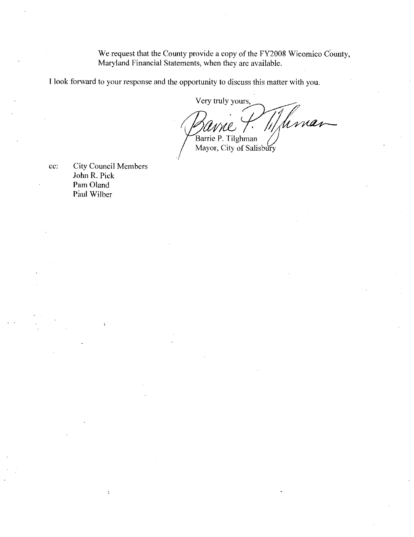We request that the County provide a copy of the FY2008 Wicomico County, Maryland Financial Statements, when they are available.

Ilook forward to your response and the opportunity to discuss this matter with you

Very truly yours,<br>and the Community of the Barrie P. Tilghman Very truly yours Iman Mayor, City of Salisbury

cc: City Council Members John R. Pick Pam Oland Paul Wilber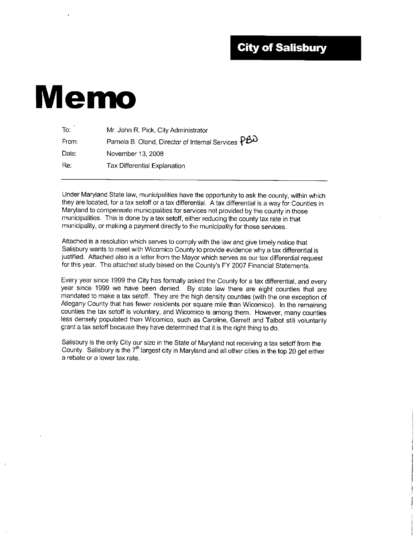#### **City of Salisbury**

# Memo

| To:   | Mr. John R. Pick, City Administrator                 |
|-------|------------------------------------------------------|
| From: | Pamela B. Oland, Director of Internal Services $PBD$ |
| Date: | November 13, 2008                                    |
| Re:   | Tax Differential Explanation                         |

Under Maryland State law, municipalities have the opportunity to ask the county, within which they are located, for a tax setoff or a tax differential. A tax differential is a way for Counties in Maryland to compensate municipalities for services not provided by the county in those municipalities. This is done by a tax setoff, either reducing the county tax rate in that municipality, or making a payment directly to the municipality for those services.

Attached is a resolution which serves to comply with the law and give timely notice that Salisbury wants to meet with Wicomico County to provide evidence why a tax differential is justified. Attached also is a letter from the Mayor which serves as our tax differential request<br>for this year. The attached study based on the County's FY 2007 Financial Statements. Attached is a resolution which serves to comply with the law and give timely notice that<br>Salisbury wants to meet with Wicomico County to provide evidence why a tax differential<br>justified. Attached also is a letter from the

Every year since 1999 the City has formally asked the County for a tax differential, and every year since 1999 we have been denied. By state law there are eight counties that are mandated to make a tax setoff. They are the high density counties (with the one exception of Allegany County that has fewer residents per square mile than Wicomico). In the remaining counties the tax setoff is voluntary, and Wicomico is among them. However, many counties less densely populated than Wicomico, such as Caroline, Garrett and Talbot still voluntarily grant a tax setoff because they have determined that it is the right thing to do

Salisbury is the only City our size in the State of Maryland not receiving a tax setoff from the County. Salisbury is the  $7<sup>th</sup>$  largest city in Maryland and all other cities in the top 20 get either a rebate or a lower tax rate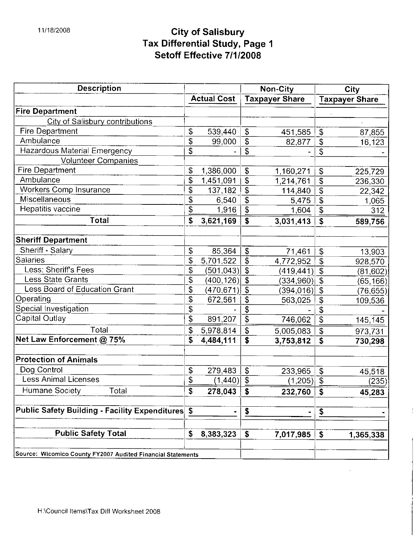## 11/18/2008 City of Salisbury Tax Differential Study, Page City of Salisbury<br>x Differential Study, Page<br>Setoff Effective 7/1/2008

| <b>Description</b>                                          |                    |                           | Non-City              |                             | City                  |
|-------------------------------------------------------------|--------------------|---------------------------|-----------------------|-----------------------------|-----------------------|
|                                                             | <b>Actual Cost</b> |                           | <b>Taxpayer Share</b> |                             | <b>Taxpayer Share</b> |
| <b>Fire Department</b>                                      |                    |                           |                       |                             |                       |
| City of Salisbury contributions                             |                    |                           |                       |                             |                       |
| <b>Fire Department</b>                                      | \$<br>539,440      | \$                        | 451,585               | \$                          | 87,855                |
| Ambulance                                                   | \$<br>99,000       | \$                        | 82,877                | \$                          | 16,123                |
| Hazardous Material Emergency                                | \$                 | \$                        |                       | \$                          |                       |
| <b>Volunteer Companies</b>                                  |                    |                           |                       |                             |                       |
| <b>Fire Department</b>                                      | \$<br>1,386,000    | $\mathsf{S}$              | 1,160,271             | $\boldsymbol{\theta}$       | 225,729               |
| Ambulance                                                   | \$<br>1,451,091    | \$                        | 1,214,761             | \$                          | 236,330               |
| <b>Workers Comp Insurance</b>                               | \$<br>137,182      | \$                        | 114,840               | $\boldsymbol{\theta}$       | 22,342                |
| Miscellaneous                                               | \$<br>6,540        | \$                        | 5,475                 | $\boldsymbol{\hat{\theta}}$ | 1,065                 |
| Hepatitis vaccine                                           | \$<br>1,916        | $\mathfrak{S}$            | 1,604                 | \$                          | 312                   |
| <b>Total</b>                                                | \$<br>3,621,169    | $\boldsymbol{\mathsf{s}}$ | 3,031,413             | \$                          | 589,756               |
| <b>Sheriff Department</b>                                   |                    |                           |                       |                             |                       |
| Sheriff - Salary                                            | \$<br>85,364       | $\boldsymbol{\mathsf{S}}$ | 71,461                | \$                          | 13,903                |
| <b>Salaries</b>                                             | \$<br>5,701.522    | $\mathsf{\$}$             | 4,772,952             | \$                          | 928,570               |
| Less: Sheriff's Fees                                        | \$<br>(501, 043)   | \$                        | (419, 441)            | \$                          | (81, 602)             |
| <b>Less State Grants</b>                                    | \$<br>(400, 126)   | $\boldsymbol{\mathsf{S}}$ | (334, 960)            | \$                          | (65, 166)             |
| Less Board of Education Grant                               | \$<br>(470,671)    | $\mathsf{\$}$             | (394, 016)            | $\mathfrak{P}$              | (76, 655)             |
| Operating                                                   | \$<br>672,561      | $\mathcal{S}$             | 563,025               | \$                          | 109,536               |
| Special Investigation                                       | \$                 | \$                        |                       | \$                          |                       |
| Capital Outlay                                              | \$<br>891,207      | $\overline{\mathcal{S}}$  | 746,062               | \$                          | 145,145               |
| Total                                                       | \$<br>5,978,814    | $\mathfrak{s}$            | 5,005,083             | $\overline{\mathbf{e}}$     | 973,731               |
| Net Law Enforcement @ 75%                                   | \$<br>4,484.111    | \$                        | 3,753,812             | \$                          | 730,298               |
| <b>Protection of Animals</b>                                |                    |                           |                       |                             |                       |
| Dog Control                                                 | \$<br>279,483      | $\mathcal{S}$             | 233,965               | $\frac{1}{2}$               | 45,518                |
| <b>Less Animal Licenses</b>                                 | \$<br>(1.440)      | $\overline{\mathcal{S}}$  | $(1.205)$ \$          |                             | (235)                 |
| Humane Society<br>Total                                     | \$<br>278,043      | $\mathbf S$               | 232,760               | \$                          | 45,283                |
| Public Safety Building - Facility Expenditures              | \$                 |                           |                       |                             |                       |
|                                                             |                    | \$                        |                       | \$                          |                       |
| <b>Public Safety Total</b>                                  | \$<br>8,383,323    | \$                        | 7,017,985             | \$                          | 1,365,338             |
| Source: Wicomico County FY2007 Audited Financial Statements |                    |                           |                       |                             |                       |

 $\,$  l

 $\hat{\mathcal{A}}$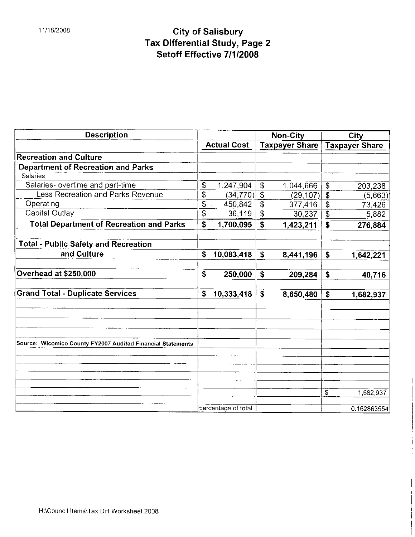$\bar{z}$ 

 $\mathcal{L}^{\text{max}}_{\text{max}}$ 

### and the control of the control of the control of Salisbury<br>and the control of City of Salisbury Tax Differential Study, Page 2 City of Salisbury<br>x Differential Study, Page<br>Setoff Effective 7/1/2008

| <b>Description</b>                                          |              |                     |                          | <b>Non-City</b>       |                           | City                  |
|-------------------------------------------------------------|--------------|---------------------|--------------------------|-----------------------|---------------------------|-----------------------|
|                                                             |              | <b>Actual Cost</b>  |                          | <b>Taxpayer Share</b> |                           | <b>Taxpayer Share</b> |
| <b>Recreation and Culture</b>                               |              |                     |                          |                       |                           |                       |
| <b>Department of Recreation and Parks</b>                   |              |                     |                          |                       |                           |                       |
| Salaries                                                    |              |                     |                          |                       |                           |                       |
| Salaries- overtime and part-time                            | \$           | 1,247,904           | $\pmb{\mathfrak{F}}$     | 1,044,666             | $\boldsymbol{\mathsf{S}}$ | 203,238               |
| Less Recreation and Parks Revenue                           | \$           | (34, 770)           | $\overline{\mathcal{S}}$ | (29, 107)             | \$                        | (5,663)               |
| Operating                                                   | \$           | 450,842             | $\boldsymbol{\theta}$    | 377,416               | $\sqrt{3}$                | 73,426                |
| Capital Outlay                                              | \$           | 36,119              | $\overline{\mathbf{3}}$  | 30,237                | $\overline{\$}$           | 5,882                 |
| <b>Total Department of Recreation and Parks</b>             | \$           | 1,700,095           | $\mathbf S$              | 1,423,211             | $\mathbf{\hat{s}}$        | 276,884               |
| <b>Total - Public Safety and Recreation</b>                 |              |                     |                          |                       |                           |                       |
| and Culture                                                 | $\mathsf{s}$ | 10,083,418          | \$                       | 8,441,196             | \$                        | 1,642,221             |
| Overhead at \$250,000                                       | $\mathsf{s}$ | 250,000             | \$                       | 209,284               | $\mathbf{s}$              | 40,716                |
| <b>Grand Total - Duplicate Services</b>                     | \$           | 10,333,418          | \$                       | 8,650,480             | \$                        | 1,682,937             |
|                                                             |              |                     |                          |                       |                           |                       |
| Source: Wicomico County FY2007 Audited Financial Statements |              |                     |                          |                       |                           |                       |
|                                                             |              |                     |                          |                       |                           |                       |
|                                                             |              |                     |                          |                       | $\overline{\mathcal{S}}$  | 1,682,937             |
|                                                             |              | percentage of total |                          |                       |                           | 0.162863554           |